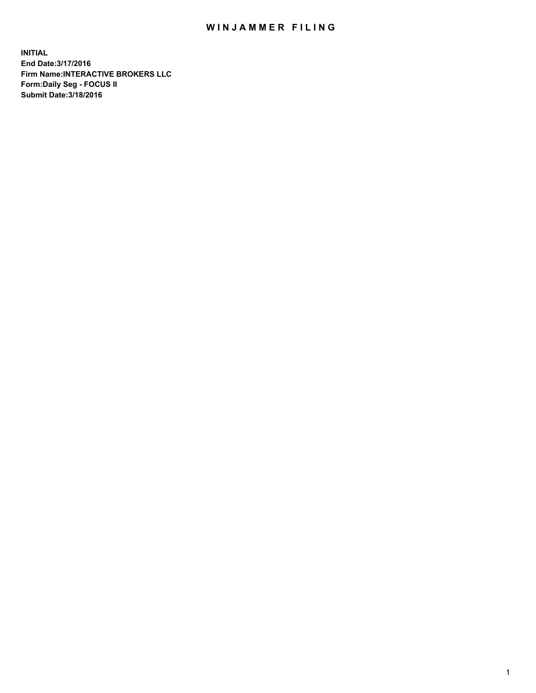## WIN JAMMER FILING

**INITIAL End Date:3/17/2016 Firm Name:INTERACTIVE BROKERS LLC Form:Daily Seg - FOCUS II Submit Date:3/18/2016**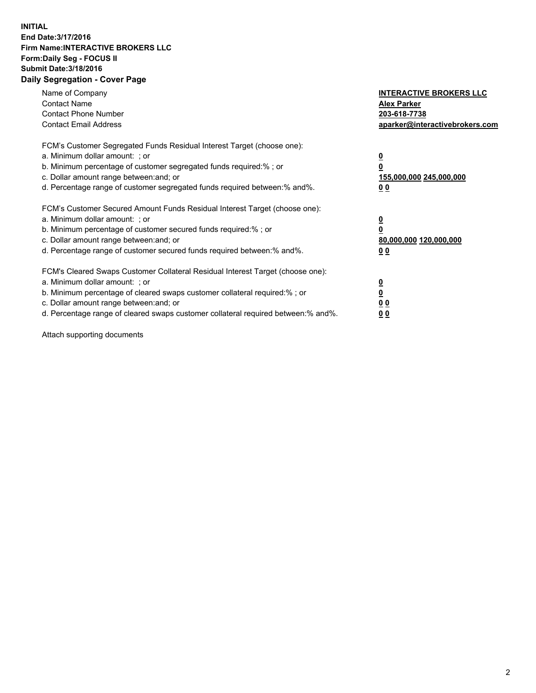## **INITIAL End Date:3/17/2016 Firm Name:INTERACTIVE BROKERS LLC Form:Daily Seg - FOCUS II Submit Date:3/18/2016 Daily Segregation - Cover Page**

| Name of Company<br><b>Contact Name</b><br><b>Contact Phone Number</b><br><b>Contact Email Address</b>                                                                                                                                                                                                                          | <b>INTERACTIVE BROKERS LLC</b><br><b>Alex Parker</b><br>203-618-7738<br>aparker@interactivebrokers.com |
|--------------------------------------------------------------------------------------------------------------------------------------------------------------------------------------------------------------------------------------------------------------------------------------------------------------------------------|--------------------------------------------------------------------------------------------------------|
| FCM's Customer Segregated Funds Residual Interest Target (choose one):<br>a. Minimum dollar amount: ; or<br>b. Minimum percentage of customer segregated funds required:%; or<br>c. Dollar amount range between: and; or<br>d. Percentage range of customer segregated funds required between:% and%.                          | <u>0</u><br>155,000,000 245,000,000<br><u>0 0</u>                                                      |
| FCM's Customer Secured Amount Funds Residual Interest Target (choose one):<br>a. Minimum dollar amount: ; or<br>b. Minimum percentage of customer secured funds required:% ; or<br>c. Dollar amount range between: and; or<br>d. Percentage range of customer secured funds required between:% and%.                           | <u>0</u><br>80,000,000 120,000,000<br><u>0 0</u>                                                       |
| FCM's Cleared Swaps Customer Collateral Residual Interest Target (choose one):<br>a. Minimum dollar amount: ; or<br>b. Minimum percentage of cleared swaps customer collateral required:% ; or<br>c. Dollar amount range between: and; or<br>d. Percentage range of cleared swaps customer collateral required between:% and%. | <u>0</u><br>0 <sub>0</sub><br>0 <sub>0</sub>                                                           |

Attach supporting documents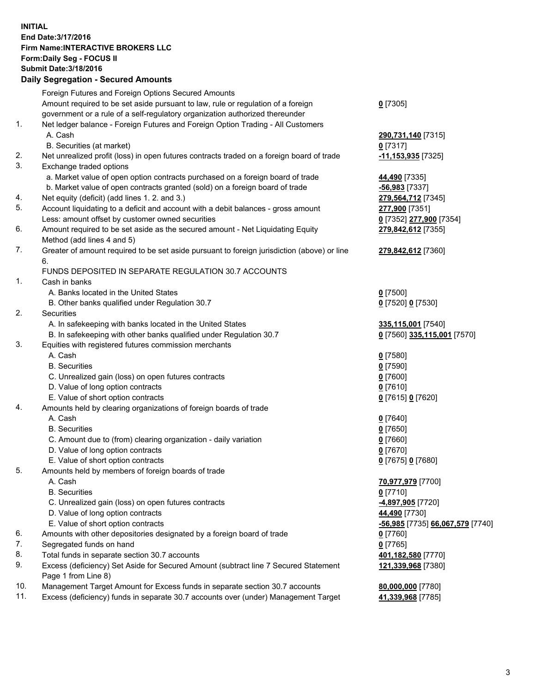## **INITIAL End Date:3/17/2016 Firm Name:INTERACTIVE BROKERS LLC Form:Daily Seg - FOCUS II Submit Date:3/18/2016 Daily Segregation - Secured Amounts**

|     | Daily Ocglegation - Occarea Anioants                                                        |                                  |
|-----|---------------------------------------------------------------------------------------------|----------------------------------|
|     | Foreign Futures and Foreign Options Secured Amounts                                         |                                  |
|     | Amount required to be set aside pursuant to law, rule or regulation of a foreign            | $0$ [7305]                       |
|     | government or a rule of a self-regulatory organization authorized thereunder                |                                  |
| 1.  | Net ledger balance - Foreign Futures and Foreign Option Trading - All Customers             |                                  |
|     | A. Cash                                                                                     | 290,731,140 [7315]               |
|     | B. Securities (at market)                                                                   | $0$ [7317]                       |
| 2.  | Net unrealized profit (loss) in open futures contracts traded on a foreign board of trade   | -11,153,935 [7325]               |
| 3.  | Exchange traded options                                                                     |                                  |
|     | a. Market value of open option contracts purchased on a foreign board of trade              | 44,490 [7335]                    |
|     | b. Market value of open contracts granted (sold) on a foreign board of trade                | $-56,983$ [7337]                 |
| 4.  | Net equity (deficit) (add lines 1.2. and 3.)                                                | 279,564,712 [7345]               |
| 5.  | Account liquidating to a deficit and account with a debit balances - gross amount           | 277,900 [7351]                   |
|     | Less: amount offset by customer owned securities                                            |                                  |
| 6.  |                                                                                             | 0 [7352] 277,900 [7354]          |
|     | Amount required to be set aside as the secured amount - Net Liquidating Equity              | 279,842,612 [7355]               |
|     | Method (add lines 4 and 5)                                                                  |                                  |
| 7.  | Greater of amount required to be set aside pursuant to foreign jurisdiction (above) or line | 279,842,612 [7360]               |
|     | 6.                                                                                          |                                  |
|     | FUNDS DEPOSITED IN SEPARATE REGULATION 30.7 ACCOUNTS                                        |                                  |
| 1.  | Cash in banks                                                                               |                                  |
|     | A. Banks located in the United States                                                       | $Q$ [7500]                       |
|     | B. Other banks qualified under Regulation 30.7                                              | 0 [7520] 0 [7530]                |
| 2.  | Securities                                                                                  |                                  |
|     | A. In safekeeping with banks located in the United States                                   | 335,115,001 [7540]               |
|     | B. In safekeeping with other banks qualified under Regulation 30.7                          | 0 [7560] 335,115,001 [7570]      |
| 3.  | Equities with registered futures commission merchants                                       |                                  |
|     | A. Cash                                                                                     | $0$ [7580]                       |
|     | <b>B.</b> Securities                                                                        | $0$ [7590]                       |
|     | C. Unrealized gain (loss) on open futures contracts                                         | $0$ [7600]                       |
|     | D. Value of long option contracts                                                           | $0$ [7610]                       |
|     | E. Value of short option contracts                                                          | 0 [7615] 0 [7620]                |
| 4.  | Amounts held by clearing organizations of foreign boards of trade                           |                                  |
|     | A. Cash                                                                                     | $0$ [7640]                       |
|     | <b>B.</b> Securities                                                                        | $0$ [7650]                       |
|     | C. Amount due to (from) clearing organization - daily variation                             | $0$ [7660]                       |
|     | D. Value of long option contracts                                                           | $0$ [7670]                       |
|     | E. Value of short option contracts                                                          | 0 [7675] 0 [7680]                |
| 5.  | Amounts held by members of foreign boards of trade                                          |                                  |
|     | A. Cash                                                                                     | 70,977,979 [7700]                |
|     | <b>B.</b> Securities                                                                        | $0$ [7710]                       |
|     | C. Unrealized gain (loss) on open futures contracts                                         | 4,897,905 [7720]                 |
|     | D. Value of long option contracts                                                           | 44,490 [7730]                    |
|     | E. Value of short option contracts                                                          | -56,985 [7735] 66,067,579 [7740] |
| 6.  | Amounts with other depositories designated by a foreign board of trade                      | $0$ [7760]                       |
| 7.  | Segregated funds on hand                                                                    | $0$ [7765]                       |
| 8.  | Total funds in separate section 30.7 accounts                                               | 401,182,580 [7770]               |
| 9.  | Excess (deficiency) Set Aside for Secured Amount (subtract line 7 Secured Statement         | 121,339,968 [7380]               |
|     | Page 1 from Line 8)                                                                         |                                  |
| 10. | Management Target Amount for Excess funds in separate section 30.7 accounts                 | 80,000,000 [7780]                |
| 11. | Excess (deficiency) funds in separate 30.7 accounts over (under) Management Target          |                                  |
|     |                                                                                             | 41,339,968 [7785]                |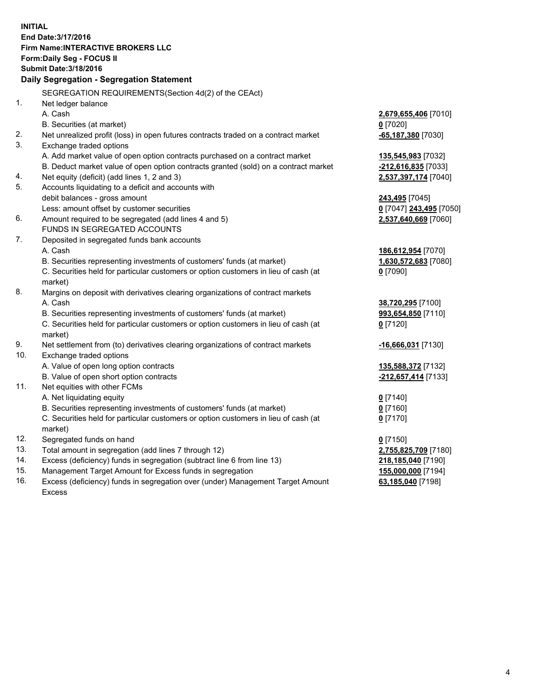**INITIAL End Date:3/17/2016 Firm Name:INTERACTIVE BROKERS LLC Form:Daily Seg - FOCUS II Submit Date:3/18/2016 Daily Segregation - Segregation Statement** SEGREGATION REQUIREMENTS(Section 4d(2) of the CEAct) 1. Net ledger balance A. Cash **2,679,655,406** [7010] B. Securities (at market) **0** [7020] 2. Net unrealized profit (loss) in open futures contracts traded on a contract market **-65,187,380** [7030] 3. Exchange traded options A. Add market value of open option contracts purchased on a contract market **135,545,983** [7032] B. Deduct market value of open option contracts granted (sold) on a contract market **-212,616,835** [7033] 4. Net equity (deficit) (add lines 1, 2 and 3) **2,537,397,174** [7040] 5. Accounts liquidating to a deficit and accounts with debit balances - gross amount **243,495** [7045] Less: amount offset by customer securities **0** [7047] **243,495** [7050] 6. Amount required to be segregated (add lines 4 and 5) **2,537,640,669** [7060] FUNDS IN SEGREGATED ACCOUNTS 7. Deposited in segregated funds bank accounts A. Cash **186,612,954** [7070] B. Securities representing investments of customers' funds (at market) **1,630,572,683** [7080] C. Securities held for particular customers or option customers in lieu of cash (at market) **0** [7090] 8. Margins on deposit with derivatives clearing organizations of contract markets A. Cash **38,720,295** [7100] B. Securities representing investments of customers' funds (at market) **993,654,850** [7110] C. Securities held for particular customers or option customers in lieu of cash (at market) **0** [7120] 9. Net settlement from (to) derivatives clearing organizations of contract markets **-16,666,031** [7130] 10. Exchange traded options A. Value of open long option contracts **135,588,372** [7132] B. Value of open short option contracts **-212,657,414** [7133] 11. Net equities with other FCMs A. Net liquidating equity **0** [7140] B. Securities representing investments of customers' funds (at market) **0** [7160] C. Securities held for particular customers or option customers in lieu of cash (at market) **0** [7170] 12. Segregated funds on hand **0** [7150] 13. Total amount in segregation (add lines 7 through 12) **2,755,825,709** [7180] 14. Excess (deficiency) funds in segregation (subtract line 6 from line 13) **218,185,040** [7190] 15. Management Target Amount for Excess funds in segregation **155,000,000** [7194] 16. Excess (deficiency) funds in segregation over (under) Management Target Amount **63,185,040** [7198]

Excess